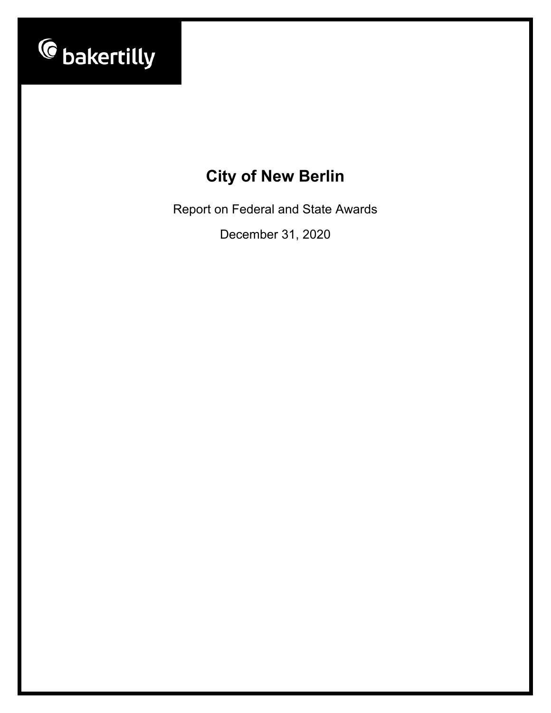

Report on Federal and State Awards

December 31, 2020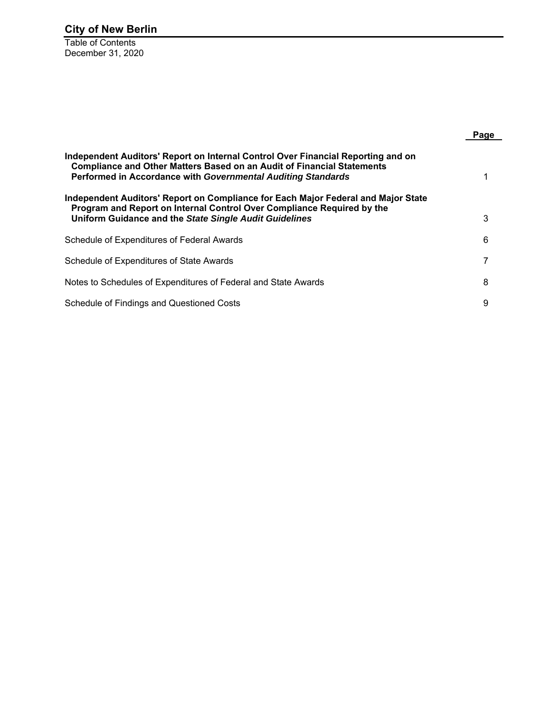Table of Contents December 31, 2020

|                                                                                                                                                                                                                                   | Page |
|-----------------------------------------------------------------------------------------------------------------------------------------------------------------------------------------------------------------------------------|------|
| Independent Auditors' Report on Internal Control Over Financial Reporting and on<br><b>Compliance and Other Matters Based on an Audit of Financial Statements</b><br>Performed in Accordance with Governmental Auditing Standards |      |
| Independent Auditors' Report on Compliance for Each Major Federal and Major State<br>Program and Report on Internal Control Over Compliance Required by the<br>Uniform Guidance and the State Single Audit Guidelines             | 3    |
| Schedule of Expenditures of Federal Awards                                                                                                                                                                                        | 6    |
| Schedule of Expenditures of State Awards                                                                                                                                                                                          |      |
| Notes to Schedules of Expenditures of Federal and State Awards                                                                                                                                                                    | 8    |
| Schedule of Findings and Questioned Costs                                                                                                                                                                                         | 9    |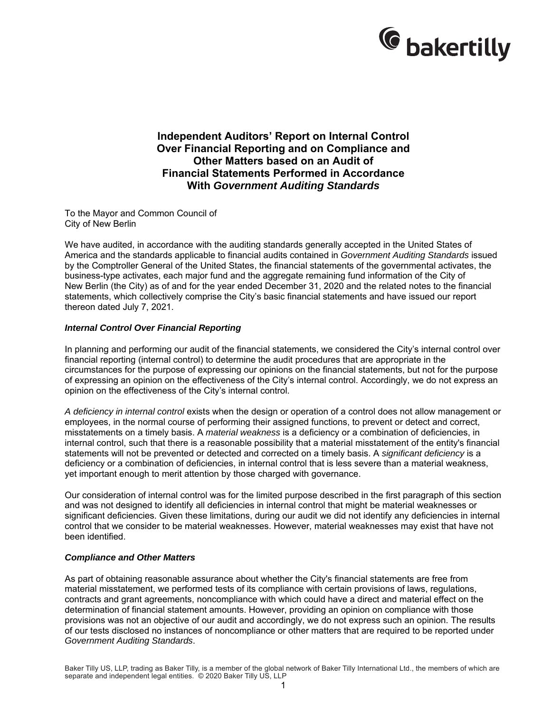

**Independent Auditors' Report on Internal Control Over Financial Reporting and on Compliance and Other Matters based on an Audit of Financial Statements Performed in Accordance With** *Government Auditing Standards* 

To the Mayor and Common Council of City of New Berlin

We have audited, in accordance with the auditing standards generally accepted in the United States of America and the standards applicable to financial audits contained in *Government Auditing Standards* issued by the Comptroller General of the United States, the financial statements of the governmental activates, the business-type activates, each major fund and the aggregate remaining fund information of the City of New Berlin (the City) as of and for the year ended December 31, 2020 and the related notes to the financial statements, which collectively comprise the City's basic financial statements and have issued our report thereon dated July 7, 2021.

### *Internal Control Over Financial Reporting*

In planning and performing our audit of the financial statements, we considered the City's internal control over financial reporting (internal control) to determine the audit procedures that are appropriate in the circumstances for the purpose of expressing our opinions on the financial statements, but not for the purpose of expressing an opinion on the effectiveness of the City's internal control. Accordingly, we do not express an opinion on the effectiveness of the City's internal control.

*A deficiency in internal control* exists when the design or operation of a control does not allow management or employees, in the normal course of performing their assigned functions, to prevent or detect and correct, misstatements on a timely basis. A *material weakness* is a deficiency or a combination of deficiencies, in internal control, such that there is a reasonable possibility that a material misstatement of the entity's financial statements will not be prevented or detected and corrected on a timely basis. A *significant deficiency* is a deficiency or a combination of deficiencies, in internal control that is less severe than a material weakness, yet important enough to merit attention by those charged with governance.

Our consideration of internal control was for the limited purpose described in the first paragraph of this section and was not designed to identify all deficiencies in internal control that might be material weaknesses or significant deficiencies. Given these limitations, during our audit we did not identify any deficiencies in internal control that we consider to be material weaknesses. However, material weaknesses may exist that have not been identified.

### *Compliance and Other Matters*

As part of obtaining reasonable assurance about whether the City's financial statements are free from material misstatement, we performed tests of its compliance with certain provisions of laws, regulations, contracts and grant agreements, noncompliance with which could have a direct and material effect on the determination of financial statement amounts. However, providing an opinion on compliance with those provisions was not an objective of our audit and accordingly, we do not express such an opinion. The results of our tests disclosed no instances of noncompliance or other matters that are required to be reported under *Government Auditing Standards*.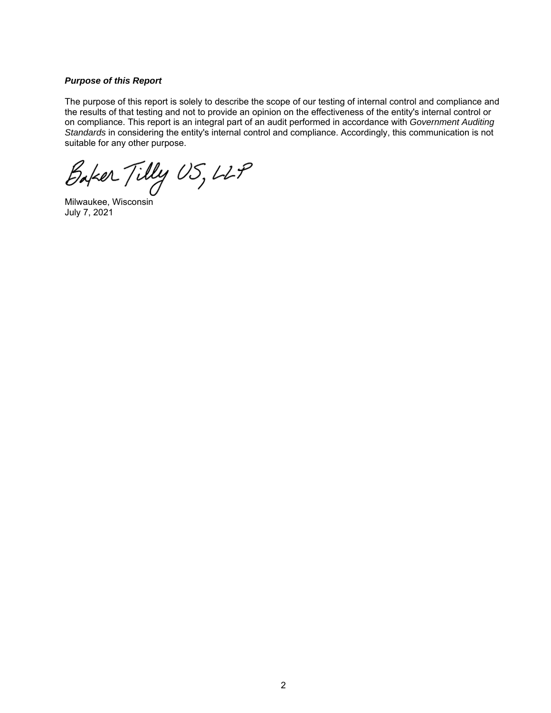### *Purpose of this Report*

The purpose of this report is solely to describe the scope of our testing of internal control and compliance and the results of that testing and not to provide an opinion on the effectiveness of the entity's internal control or on compliance. This report is an integral part of an audit performed in accordance with *Government Auditing Standards* in considering the entity's internal control and compliance. Accordingly, this communication is not suitable for any other purpose.

Baker Tilly US, LLP

Milwaukee, Wisconsin July 7, 2021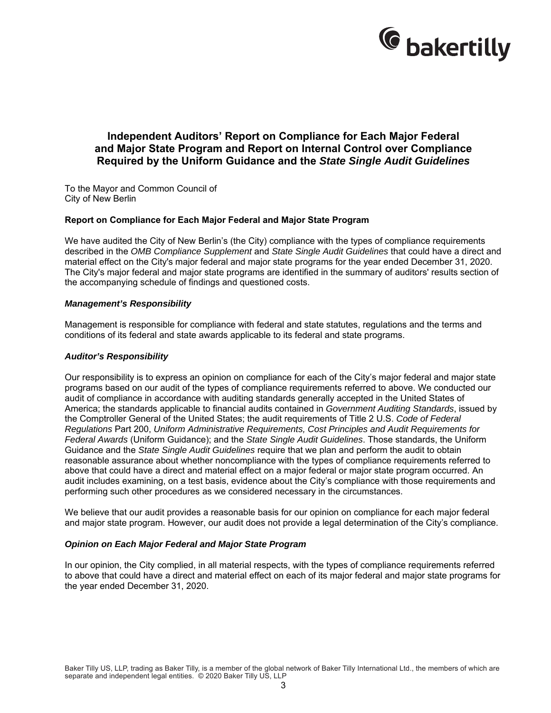

### **Independent Auditors' Report on Compliance for Each Major Federal and Major State Program and Report on Internal Control over Compliance Required by the Uniform Guidance and the** *State Single Audit Guidelines*

To the Mayor and Common Council of City of New Berlin

#### **Report on Compliance for Each Major Federal and Major State Program**

We have audited the City of New Berlin's (the City) compliance with the types of compliance requirements described in the *OMB Compliance Supplement* and *State Single Audit Guidelines* that could have a direct and material effect on the City's major federal and major state programs for the year ended December 31, 2020. The City's major federal and major state programs are identified in the summary of auditors' results section of the accompanying schedule of findings and questioned costs.

#### *Management's Responsibility*

Management is responsible for compliance with federal and state statutes, regulations and the terms and conditions of its federal and state awards applicable to its federal and state programs.

#### *Auditor's Responsibility*

Our responsibility is to express an opinion on compliance for each of the City's major federal and major state programs based on our audit of the types of compliance requirements referred to above. We conducted our audit of compliance in accordance with auditing standards generally accepted in the United States of America; the standards applicable to financial audits contained in *Government Auditing Standards*, issued by the Comptroller General of the United States; the audit requirements of Title 2 U.S. *Code of Federal Regulations* Part 200, *Uniform Administrative Requirements, Cost Principles and Audit Requirements for Federal Awards* (Uniform Guidance); and the *State Single Audit Guidelines*. Those standards, the Uniform Guidance and the *State Single Audit Guidelines* require that we plan and perform the audit to obtain reasonable assurance about whether noncompliance with the types of compliance requirements referred to above that could have a direct and material effect on a major federal or major state program occurred. An audit includes examining, on a test basis, evidence about the City's compliance with those requirements and performing such other procedures as we considered necessary in the circumstances.

We believe that our audit provides a reasonable basis for our opinion on compliance for each major federal and major state program. However, our audit does not provide a legal determination of the City's compliance.

#### *Opinion on Each Major Federal and Major State Program*

In our opinion, the City complied, in all material respects, with the types of compliance requirements referred to above that could have a direct and material effect on each of its major federal and major state programs for the year ended December 31, 2020.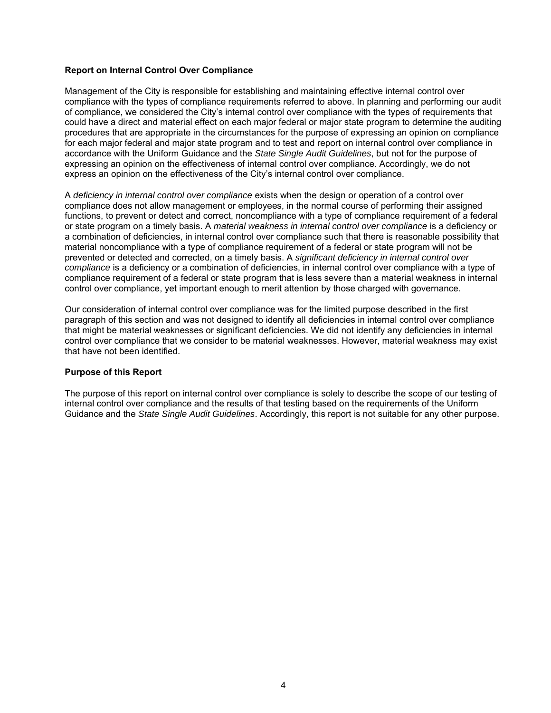### **Report on Internal Control Over Compliance**

Management of the City is responsible for establishing and maintaining effective internal control over compliance with the types of compliance requirements referred to above. In planning and performing our audit of compliance, we considered the City's internal control over compliance with the types of requirements that could have a direct and material effect on each major federal or major state program to determine the auditing procedures that are appropriate in the circumstances for the purpose of expressing an opinion on compliance for each major federal and major state program and to test and report on internal control over compliance in accordance with the Uniform Guidance and the *State Single Audit Guidelines*, but not for the purpose of expressing an opinion on the effectiveness of internal control over compliance. Accordingly, we do not express an opinion on the effectiveness of the City's internal control over compliance.

A *deficiency in internal control over compliance* exists when the design or operation of a control over compliance does not allow management or employees, in the normal course of performing their assigned functions, to prevent or detect and correct, noncompliance with a type of compliance requirement of a federal or state program on a timely basis. A *material weakness in internal control over compliance* is a deficiency or a combination of deficiencies, in internal control over compliance such that there is reasonable possibility that material noncompliance with a type of compliance requirement of a federal or state program will not be prevented or detected and corrected, on a timely basis. A *significant deficiency in internal control over compliance* is a deficiency or a combination of deficiencies, in internal control over compliance with a type of compliance requirement of a federal or state program that is less severe than a material weakness in internal control over compliance, yet important enough to merit attention by those charged with governance.

Our consideration of internal control over compliance was for the limited purpose described in the first paragraph of this section and was not designed to identify all deficiencies in internal control over compliance that might be material weaknesses or significant deficiencies. We did not identify any deficiencies in internal control over compliance that we consider to be material weaknesses. However, material weakness may exist that have not been identified.

### **Purpose of this Report**

The purpose of this report on internal control over compliance is solely to describe the scope of our testing of internal control over compliance and the results of that testing based on the requirements of the Uniform Guidance and the *State Single Audit Guidelines*. Accordingly, this report is not suitable for any other purpose.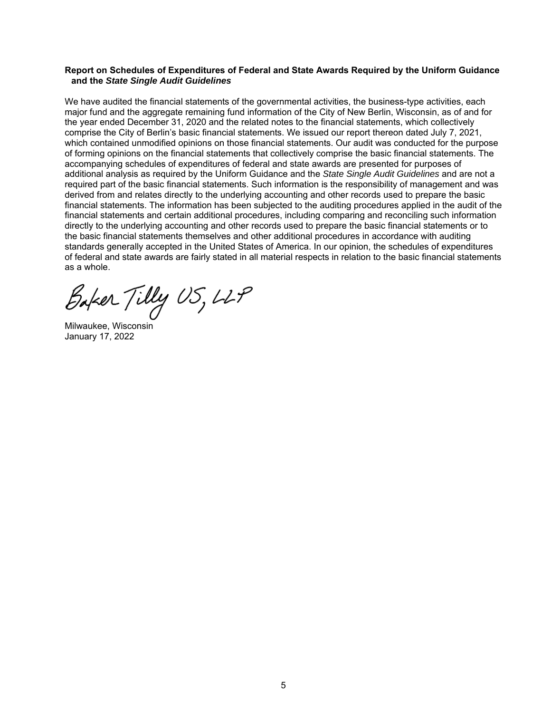#### **Report on Schedules of Expenditures of Federal and State Awards Required by the Uniform Guidance and the** *State Single Audit Guidelines*

We have audited the financial statements of the governmental activities, the business-type activities, each major fund and the aggregate remaining fund information of the City of New Berlin, Wisconsin, as of and for the year ended December 31, 2020 and the related notes to the financial statements, which collectively comprise the City of Berlin's basic financial statements. We issued our report thereon dated July 7, 2021, which contained unmodified opinions on those financial statements. Our audit was conducted for the purpose of forming opinions on the financial statements that collectively comprise the basic financial statements. The accompanying schedules of expenditures of federal and state awards are presented for purposes of additional analysis as required by the Uniform Guidance and the *State Single Audit Guidelines* and are not a required part of the basic financial statements. Such information is the responsibility of management and was derived from and relates directly to the underlying accounting and other records used to prepare the basic financial statements. The information has been subjected to the auditing procedures applied in the audit of the financial statements and certain additional procedures, including comparing and reconciling such information directly to the underlying accounting and other records used to prepare the basic financial statements or to the basic financial statements themselves and other additional procedures in accordance with auditing standards generally accepted in the United States of America. In our opinion, the schedules of expenditures of federal and state awards are fairly stated in all material respects in relation to the basic financial statements as a whole.

Baker Tilly US, LLP

Milwaukee, Wisconsin January 17, 2022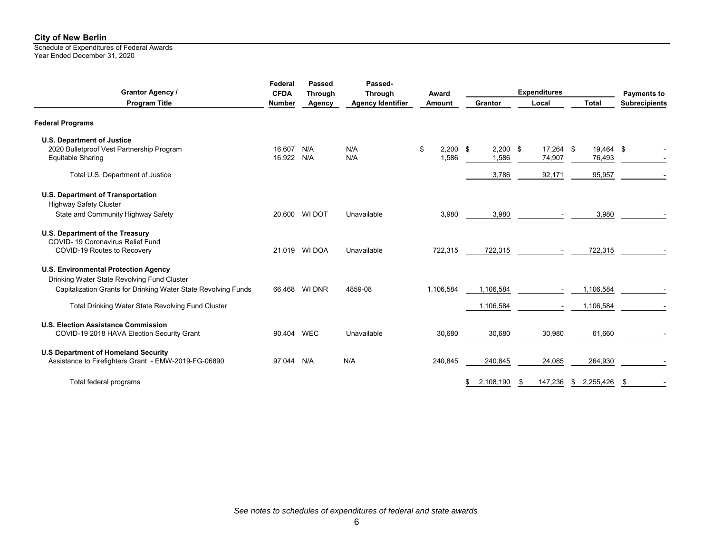Schedule of Expenditures of Federal Awards Year Ended December 31, 2020

| Grantor Agency /<br><b>Program Title</b>                                                           |            | Passed<br><b>Through</b> | Passed-<br><b>Through</b> | Award            |                 | <b>Expenditures</b> |              | <b>Payments to</b><br><b>Subrecipients</b> |
|----------------------------------------------------------------------------------------------------|------------|--------------------------|---------------------------|------------------|-----------------|---------------------|--------------|--------------------------------------------|
|                                                                                                    |            | Agency                   | <b>Agency Identifier</b>  | Amount           | Grantor         | Local               | <b>Total</b> |                                            |
| <b>Federal Programs</b>                                                                            |            |                          |                           |                  |                 |                     |              |                                            |
| <b>U.S. Department of Justice</b><br>2020 Bulletproof Vest Partnership Program                     | 16.607     | N/A                      | N/A                       | $2.200$ \$<br>\$ | 2.200           | 17,264 \$<br>\$     | 19,464 \$    |                                            |
| Equitable Sharing                                                                                  | 16.922     | N/A                      | N/A                       | 1,586            | 1,586           | 74,907              | 76,493       |                                            |
| Total U.S. Department of Justice                                                                   |            |                          |                           |                  | 3,786           | 92,171              | 95,957       |                                            |
| U.S. Department of Transportation                                                                  |            |                          |                           |                  |                 |                     |              |                                            |
| <b>Highway Safety Cluster</b><br>State and Community Highway Safety                                | 20.600     | WI DOT                   | Unavailable               | 3,980            | 3,980           |                     | 3,980        |                                            |
| U.S. Department of the Treasury<br>COVID-19 Coronavirus Relief Fund                                |            |                          |                           |                  |                 |                     |              |                                            |
| COVID-19 Routes to Recovery                                                                        |            | 21.019 WI DOA            | Unavailable               | 722,315          | 722,315         |                     | 722,315      |                                            |
| <b>U.S. Environmental Protection Agency</b><br>Drinking Water State Revolving Fund Cluster         |            |                          |                           |                  |                 |                     |              |                                            |
| Capitalization Grants for Drinking Water State Revolving Funds                                     |            | 66.468 WI DNR            | 4859-08                   | 1,106,584        | 1,106,584       |                     | 1,106,584    |                                            |
| Total Drinking Water State Revolving Fund Cluster                                                  |            |                          |                           |                  | 1,106,584       |                     | 1,106,584    |                                            |
| <b>U.S. Election Assistance Commission</b><br>COVID-19 2018 HAVA Election Security Grant           | 90.404 WEC |                          | Unavailable               | 30,680           | 30,680          | 30,980              | 61,660       |                                            |
| <b>U.S Department of Homeland Security</b><br>Assistance to Firefighters Grant - EMW-2019-FG-06890 | 97.044 N/A |                          | N/A                       | 240,845          | 240,845         | 24,085              | 264,930      |                                            |
|                                                                                                    |            |                          |                           |                  |                 |                     |              |                                            |
| Total federal programs                                                                             |            |                          |                           |                  | 2,108,190<br>\$ | 147,236<br>- \$     | \$2,255,426  | \$                                         |

*See notes to schedules of expenditures of federal and state awards*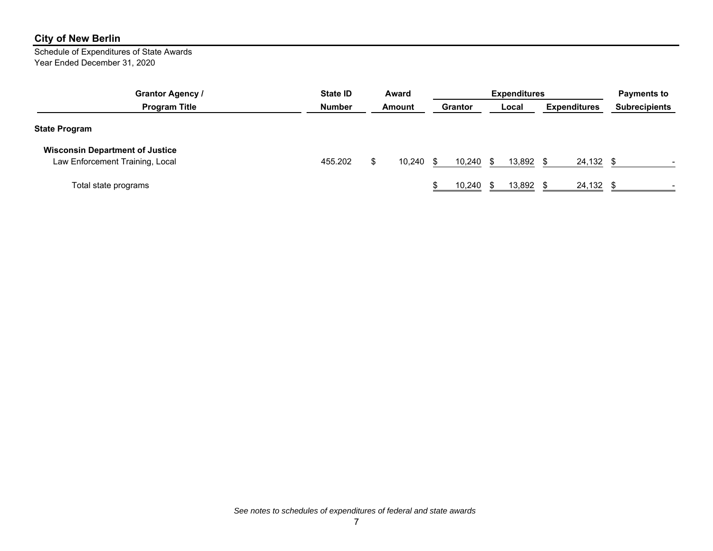Schedule of Expenditures of State Awards Year Ended December 31, 2020

| <b>Grantor Agency /</b>                | State <b>ID</b> | Award<br>Amount |        | <b>Expenditures</b> |        |       |           |                     |           | <b>Payments to</b>   |  |
|----------------------------------------|-----------------|-----------------|--------|---------------------|--------|-------|-----------|---------------------|-----------|----------------------|--|
| <b>Program Title</b>                   | Number          |                 |        | Grantor             |        | Local |           | <b>Expenditures</b> |           | <b>Subrecipients</b> |  |
| <b>State Program</b>                   |                 |                 |        |                     |        |       |           |                     |           |                      |  |
| <b>Wisconsin Department of Justice</b> |                 |                 |        |                     |        |       |           |                     |           |                      |  |
| Law Enforcement Training, Local        | 455.202         |                 | 10,240 |                     | 10,240 | -96   | 13,892 \$ |                     | 24,132 \$ |                      |  |
| Total state programs                   |                 |                 |        |                     | 10,240 |       | 13,892    |                     | 24,132    |                      |  |

*See notes to schedules of expenditures of federal and state awards*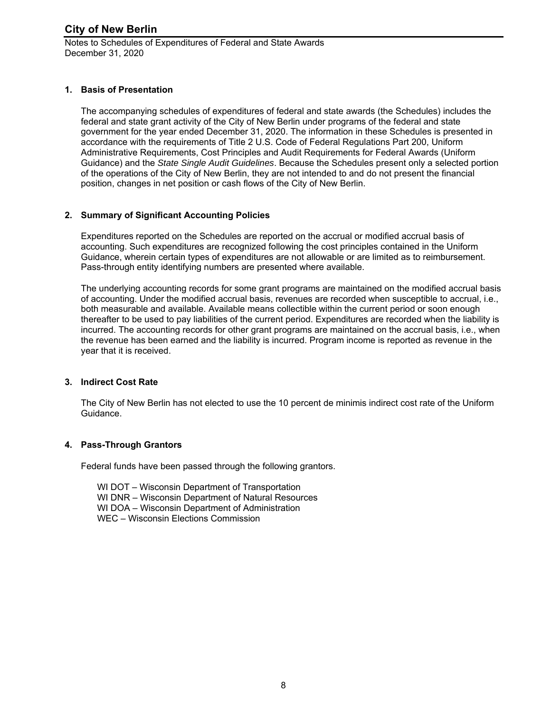Notes to Schedules of Expenditures of Federal and State Awards December 31, 2020

### **1. Basis of Presentation**

The accompanying schedules of expenditures of federal and state awards (the Schedules) includes the federal and state grant activity of the City of New Berlin under programs of the federal and state government for the year ended December 31, 2020. The information in these Schedules is presented in accordance with the requirements of Title 2 U.S. Code of Federal Regulations Part 200, Uniform Administrative Requirements, Cost Principles and Audit Requirements for Federal Awards (Uniform Guidance) and the *State Single Audit Guidelines*. Because the Schedules present only a selected portion of the operations of the City of New Berlin, they are not intended to and do not present the financial position, changes in net position or cash flows of the City of New Berlin.

### **2. Summary of Significant Accounting Policies**

Expenditures reported on the Schedules are reported on the accrual or modified accrual basis of accounting. Such expenditures are recognized following the cost principles contained in the Uniform Guidance, wherein certain types of expenditures are not allowable or are limited as to reimbursement. Pass-through entity identifying numbers are presented where available.

The underlying accounting records for some grant programs are maintained on the modified accrual basis of accounting. Under the modified accrual basis, revenues are recorded when susceptible to accrual, i.e., both measurable and available. Available means collectible within the current period or soon enough thereafter to be used to pay liabilities of the current period. Expenditures are recorded when the liability is incurred. The accounting records for other grant programs are maintained on the accrual basis, i.e., when the revenue has been earned and the liability is incurred. Program income is reported as revenue in the year that it is received.

### **3. Indirect Cost Rate**

The City of New Berlin has not elected to use the 10 percent de minimis indirect cost rate of the Uniform Guidance.

### **4. Pass-Through Grantors**

Federal funds have been passed through the following grantors.

WI DOT – Wisconsin Department of Transportation WI DNR – Wisconsin Department of Natural Resources WI DOA – Wisconsin Department of Administration WEC – Wisconsin Elections Commission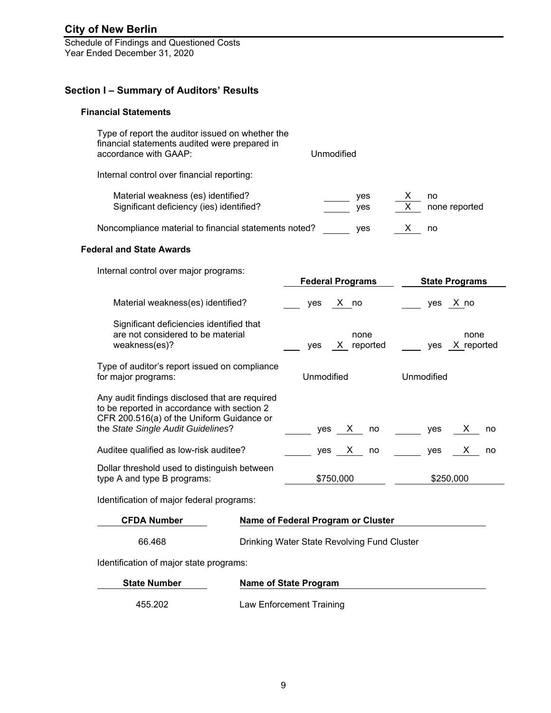Schedule of Findings and Questioned Costs Year Ended December 31, 2020

### **Section I – Summary of Auditors' Results**

### **Financial Statements**

| Type of report the auditor issued on whether the<br>financial statements audited were prepared in<br>accordance with GAAP:                                                       | Unmodified                                  |                               |
|----------------------------------------------------------------------------------------------------------------------------------------------------------------------------------|---------------------------------------------|-------------------------------|
| Internal control over financial reporting:                                                                                                                                       |                                             |                               |
| Material weakness (es) identified?<br>Significant deficiency (ies) identified?                                                                                                   | yes<br>ves                                  | X<br>no<br>X<br>none reported |
| Noncompliance material to financial statements noted?                                                                                                                            | yes                                         | X.<br>no                      |
| <b>Federal and State Awards</b>                                                                                                                                                  |                                             |                               |
| Internal control over major programs:                                                                                                                                            | <b>Federal Programs</b>                     | <b>State Programs</b>         |
| Material weakness(es) identified?                                                                                                                                                | X no<br>yes                                 | yes X no                      |
| Significant deficiencies identified that<br>are not considered to be material<br>weakness(es)?                                                                                   | none<br>X reported<br>yes                   | none<br>X reported<br>yes     |
| Type of auditor's report issued on compliance<br>for major programs:                                                                                                             | <b>Unmodified</b>                           | Unmodified                    |
| Any audit findings disclosed that are required<br>to be reported in accordance with section 2<br>CFR 200.516(a) of the Uniform Guidance or<br>the State Single Audit Guidelines? | yes<br>X.<br>no                             | х<br>yes<br>no                |
| Auditee qualified as low-risk auditee?                                                                                                                                           | yes<br>X.<br>no                             | yes<br>X.<br>no               |
| Dollar threshold used to distinguish between<br>type A and type B programs:                                                                                                      | \$750,000                                   | \$250,000                     |
| Identification of major federal programs:                                                                                                                                        |                                             |                               |
| <b>CFDA Number</b>                                                                                                                                                               | Name of Federal Program or Cluster          |                               |
| 66.468                                                                                                                                                                           | Drinking Water State Revolving Fund Cluster |                               |

Identification of major state programs:

| <b>State Number</b> | <b>Name of State Program</b> |
|---------------------|------------------------------|
| 455.202             | Law Enforcement Training     |